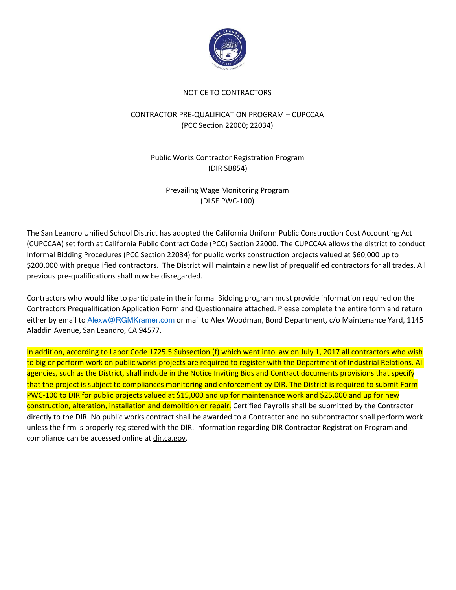

#### NOTICE TO CONTRACTORS

#### CONTRACTOR PRE-QUALIFICATION PROGRAM – CUPCCAA (PCC Section 22000; 22034)

### Public Works Contractor Registration Program (DIR SB854)

Prevailing Wage Monitoring Program (DLSE PWC-100)

The San Leandro Unified School District has adopted the California Uniform Public Construction Cost Accounting Act (CUPCCAA) set forth at California Public Contract Code (PCC) Section 22000. The CUPCCAA allows the district to conduct Informal Bidding Procedures (PCC Section 22034) for public works construction projects valued at \$60,000 up to \$200,000 with prequalified contractors. The District will maintain a new list of prequalified contractors for all trades. All previous pre-qualifications shall now be disregarded.

Contractors who would like to participate in the informal Bidding program must provide information required on the Contractors Prequalification Application Form and Questionnaire attached. Please complete the entire form and return either by email to Alexw@RGMKramer.com or mail to Alex Woodman, Bond Department, c/o Maintenance Yard, 1145 Aladdin Avenue, San Leandro, CA 94577.

In addition, according to Labor Code 1725.5 Subsection (f) which went into law on July 1, 2017 all contractors who wish to big or perform work on public works projects are required to register with the Department of Industrial Relations. All agencies, such as the District, shall include in the Notice Inviting Bids and Contract documents provisions that specify that the project is subject to compliances monitoring and enforcement by DIR. The District is required to submit Form PWC-100 to DIR for public projects valued at \$15,000 and up for maintenance work and \$25,000 and up for new construction, alteration, installation and demolition or repair. Certified Payrolls shall be submitted by the Contractor directly to the DIR. No public works contract shall be awarded to a Contractor and no subcontractor shall perform work unless the firm is properly registered with the DIR. Information regarding DIR Contractor Registration Program and compliance can be accessed online at dir.ca.gov.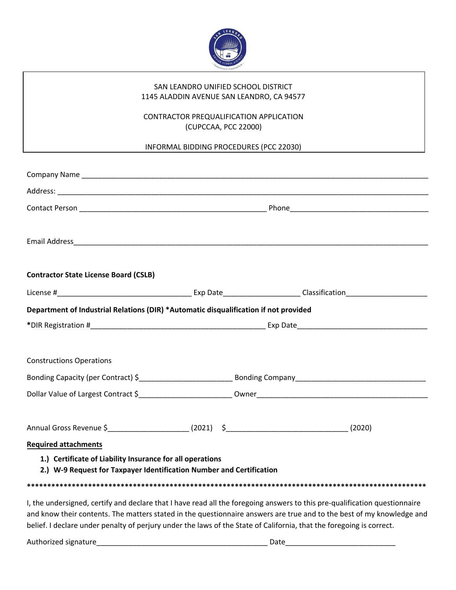

#### SAN LEANDRO UNIFIED SCHOOL DISTRICT 1145 ALADDIN AVENUE SAN LEANDRO, CA 94577

### CONTRACTOR PREQUALIFICATION APPLICATION (CUPCCAA, PCC 22000)

INFORMAL BIDDING PROCEDURES (PCC 22030)

| <b>Contractor State License Board (CSLB)</b>                                                                                                                                                                                                        |  |  |  |
|-----------------------------------------------------------------------------------------------------------------------------------------------------------------------------------------------------------------------------------------------------|--|--|--|
|                                                                                                                                                                                                                                                     |  |  |  |
| Department of Industrial Relations (DIR) *Automatic disqualification if not provided                                                                                                                                                                |  |  |  |
|                                                                                                                                                                                                                                                     |  |  |  |
|                                                                                                                                                                                                                                                     |  |  |  |
| <b>Constructions Operations</b>                                                                                                                                                                                                                     |  |  |  |
|                                                                                                                                                                                                                                                     |  |  |  |
|                                                                                                                                                                                                                                                     |  |  |  |
|                                                                                                                                                                                                                                                     |  |  |  |
|                                                                                                                                                                                                                                                     |  |  |  |
| <b>Required attachments</b>                                                                                                                                                                                                                         |  |  |  |
| 1.) Certificate of Liability Insurance for all operations<br>2.) W-9 Request for Taxpayer Identification Number and Certification                                                                                                                   |  |  |  |
|                                                                                                                                                                                                                                                     |  |  |  |
| I, the undersigned, certify and declare that I have read all the foregoing answers to this pre-qualification questionnaire<br>and know their contents. The matters stated in the questionnaire answers are true and to the best of my knowledge and |  |  |  |

and know their contents. The matters stated in the questionnaire answers are true and to the best of my knowledge and belief. I declare under penalty of perjury under the laws of the State of California, that the foregoing is correct.

Authorized signature\_\_\_\_\_\_\_\_\_\_\_\_\_\_\_\_\_\_\_\_\_\_\_\_\_\_\_\_\_\_\_\_\_\_\_\_\_\_\_\_\_\_ Date\_\_\_\_\_\_\_\_\_\_\_\_\_\_\_\_\_\_\_\_\_\_\_\_\_\_\_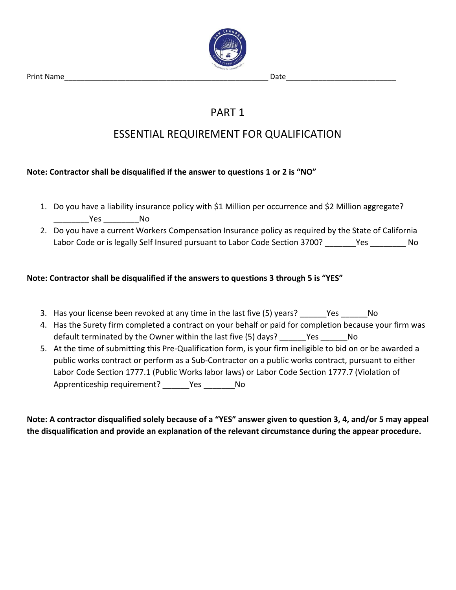Print Name\_\_\_\_\_\_\_\_\_\_\_\_\_\_\_\_\_\_\_\_\_\_\_\_\_\_\_\_\_\_\_\_\_\_\_\_\_\_\_\_\_\_\_\_\_\_\_\_\_\_ Date\_\_\_\_\_\_\_\_\_\_\_\_\_\_\_\_\_\_\_\_\_\_\_\_\_\_\_



## PART 1

## ESSENTIAL REQUIREMENT FOR QUALIFICATION

### **Note: Contractor shall be disqualified if the answer to questions 1 or 2 is "NO"**

- 1. Do you have a liability insurance policy with \$1 Million per occurrence and \$2 Million aggregate? \_\_\_\_\_\_\_\_Yes \_\_\_\_\_\_\_\_No
- 2. Do you have a current Workers Compensation Insurance policy as required by the State of California Labor Code or is legally Self Insured pursuant to Labor Code Section 3700? These the Super

### **Note: Contractor shall be disqualified if the answers to questions 3 through 5 is "YES"**

- 3. Has your license been revoked at any time in the last five (5) years? Thes The No
- 4. Has the Surety firm completed a contract on your behalf or paid for completion because your firm was default terminated by the Owner within the last five (5) days? Yes No
- 5. At the time of submitting this Pre-Qualification form, is your firm ineligible to bid on or be awarded a public works contract or perform as a Sub-Contractor on a public works contract, pursuant to either Labor Code Section 1777.1 (Public Works labor laws) or Labor Code Section 1777.7 (Violation of Apprenticeship requirement? Yes No

**Note: A contractor disqualified solely because of a "YES" answer given to question 3, 4, and/or 5 may appeal the disqualification and provide an explanation of the relevant circumstance during the appear procedure.**